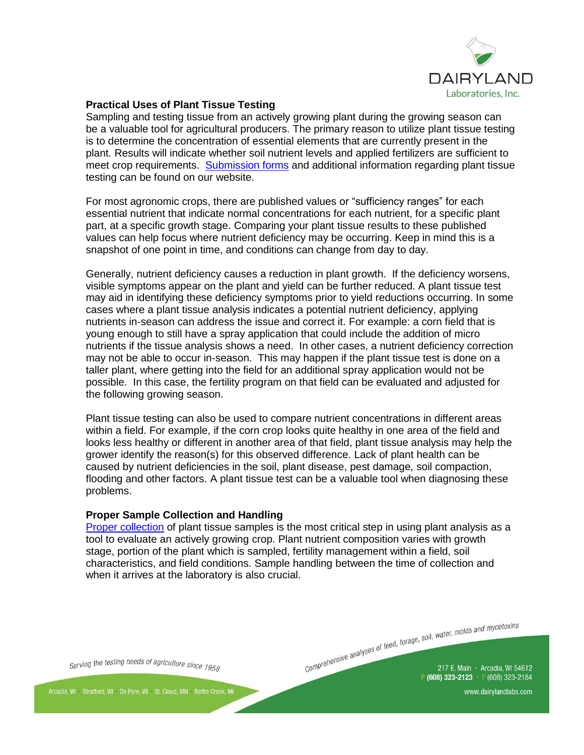

## **Practical Uses of Plant Tissue Testing**

Sampling and testing tissue from an actively growing plant during the growing season can be a valuable tool for agricultural producers. The primary reason to utilize plant tissue testing is to determine the concentration of essential elements that are currently present in the plant. Results will indicate whether soil nutrient levels and applied fertilizers are sufficient to meet crop requirements. [Submission forms](https://www.dairylandlabs.com/agronomy-services/plant-tissues) and additional information regarding plant tissue testing can be found on our website.

For most agronomic crops, there are published values or "sufficiency ranges" for each essential nutrient that indicate normal concentrations for each nutrient, for a specific plant part, at a specific growth stage. Comparing your plant tissue results to these published values can help focus where nutrient deficiency may be occurring. Keep in mind this is a snapshot of one point in time, and conditions can change from day to day.

Generally, nutrient deficiency causes a reduction in plant growth. If the deficiency worsens, visible symptoms appear on the plant and yield can be further reduced. A plant tissue test may aid in identifying these deficiency symptoms prior to yield reductions occurring. In some cases where a plant tissue analysis indicates a potential nutrient deficiency, applying nutrients in-season can address the issue and correct it. For example: a corn field that is young enough to still have a spray application that could include the addition of micro nutrients if the tissue analysis shows a need. In other cases, a nutrient deficiency correction may not be able to occur in-season. This may happen if the plant tissue test is done on a taller plant, where getting into the field for an additional spray application would not be possible. In this case, the fertility program on that field can be evaluated and adjusted for the following growing season.

Plant tissue testing can also be used to compare nutrient concentrations in different areas within a field. For example, if the corn crop looks quite healthy in one area of the field and looks less healthy or different in another area of that field, plant tissue analysis may help the grower identify the reason(s) for this observed difference. Lack of plant health can be caused by nutrient deficiencies in the soil, plant disease, pest damage, soil compaction, flooding and other factors. A plant tissue test can be a valuable tool when diagnosing these problems.

## **Proper Sample Collection and Handling**

[Proper collection](https://www.dairylandlabs.com/agronomy-services/plant-tissues/sampling-instructions) of plant tissue samples is the most critical step in using plant analysis as a tool to evaluate an actively growing crop. Plant nutrient composition varies with growth stage, portion of the plant which is sampled, fertility management within a field, soil characteristics, and field conditions. Sample handling between the time of collection and when it arrives at the laboratory is also crucial.